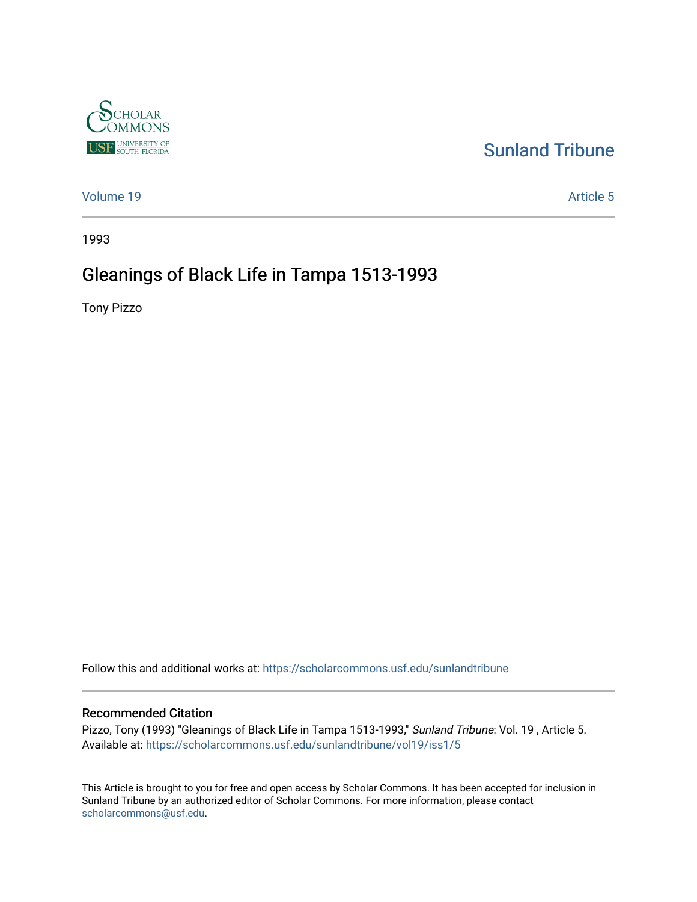

# [Sunland Tribune](https://scholarcommons.usf.edu/sunlandtribune)

[Volume 19](https://scholarcommons.usf.edu/sunlandtribune/vol19) Article 5

1993

# Gleanings of Black Life in Tampa 1513-1993

Tony Pizzo

Follow this and additional works at: [https://scholarcommons.usf.edu/sunlandtribune](https://scholarcommons.usf.edu/sunlandtribune?utm_source=scholarcommons.usf.edu%2Fsunlandtribune%2Fvol19%2Fiss1%2F5&utm_medium=PDF&utm_campaign=PDFCoverPages) 

#### Recommended Citation

Pizzo, Tony (1993) "Gleanings of Black Life in Tampa 1513-1993," Sunland Tribune: Vol. 19 , Article 5. Available at: [https://scholarcommons.usf.edu/sunlandtribune/vol19/iss1/5](https://scholarcommons.usf.edu/sunlandtribune/vol19/iss1/5?utm_source=scholarcommons.usf.edu%2Fsunlandtribune%2Fvol19%2Fiss1%2F5&utm_medium=PDF&utm_campaign=PDFCoverPages) 

This Article is brought to you for free and open access by Scholar Commons. It has been accepted for inclusion in Sunland Tribune by an authorized editor of Scholar Commons. For more information, please contact [scholarcommons@usf.edu.](mailto:scholarcommons@usf.edu)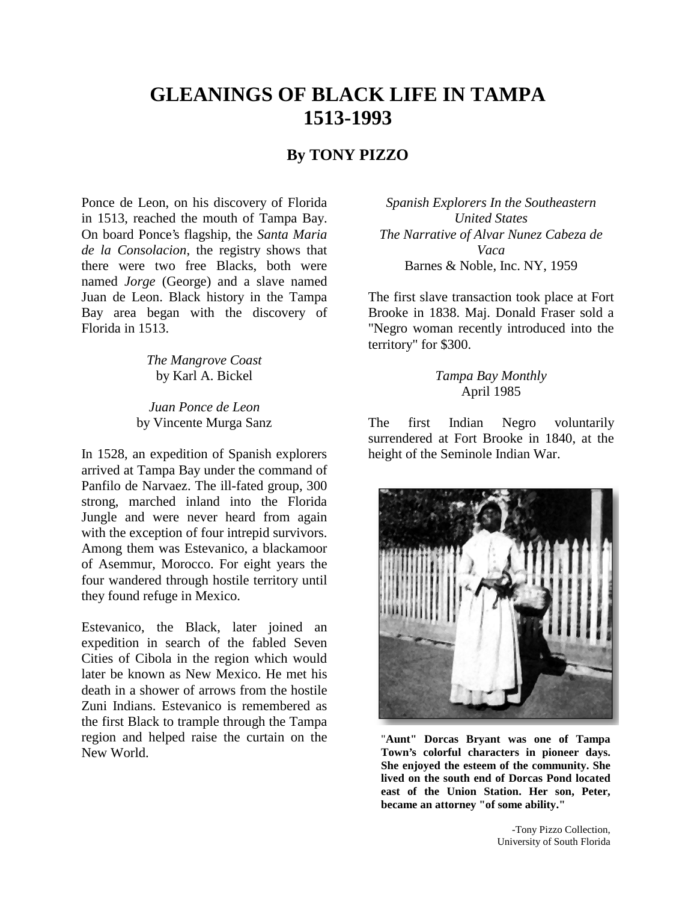# **GLEANINGS OF BLACK LIFE IN TAMPA 1513-1993**

## **By TONY PIZZO**

Ponce de Leon, on his discovery of Florida in 1513, reached the mouth of Tampa Bay. On board Ponce's flagship, the *Santa Maria de la Consolacion*, the registry shows that there were two free Blacks, both were named *Jorge* (George) and a slave named Juan de Leon. Black history in the Tampa Bay area began with the discovery of Florida in 1513.

> *The Mangrove Coast*  by Karl A. Bickel

*Juan Ponce de Leon*  by Vincente Murga Sanz

In 1528, an expedition of Spanish explorers arrived at Tampa Bay under the command of Panfilo de Narvaez. The ill-fated group, 300 strong, marched inland into the Florida Jungle and were never heard from again with the exception of four intrepid survivors. Among them was Estevanico, a blackamoor of Asemmur, Morocco. For eight years the four wandered through hostile territory until they found refuge in Mexico.

Estevanico, the Black, later joined an expedition in search of the fabled Seven Cities of Cibola in the region which would later be known as New Mexico. He met his death in a shower of arrows from the hostile Zuni Indians. Estevanico is remembered as the first Black to trample through the Tampa region and helped raise the curtain on the New World.

*Spanish Explorers In the Southeastern United States The Narrative of Alvar Nunez Cabeza de Vaca*  Barnes & Noble, Inc. NY, 1959

The first slave transaction took place at Fort Brooke in 1838. Maj. Donald Fraser sold a "Negro woman recently introduced into the territory" for \$300.

> *Tampa Bay Monthly*  April 1985

The first Indian Negro voluntarily surrendered at Fort Brooke in 1840, at the height of the Seminole Indian War.



"**Aunt" Dorcas Bryant was one of Tampa Town's colorful characters in pioneer days. She enjoyed the esteem of the community. She lived on the south end of Dorcas Pond located east of the Union Station. Her son, Peter, became an attorney "of some ability."**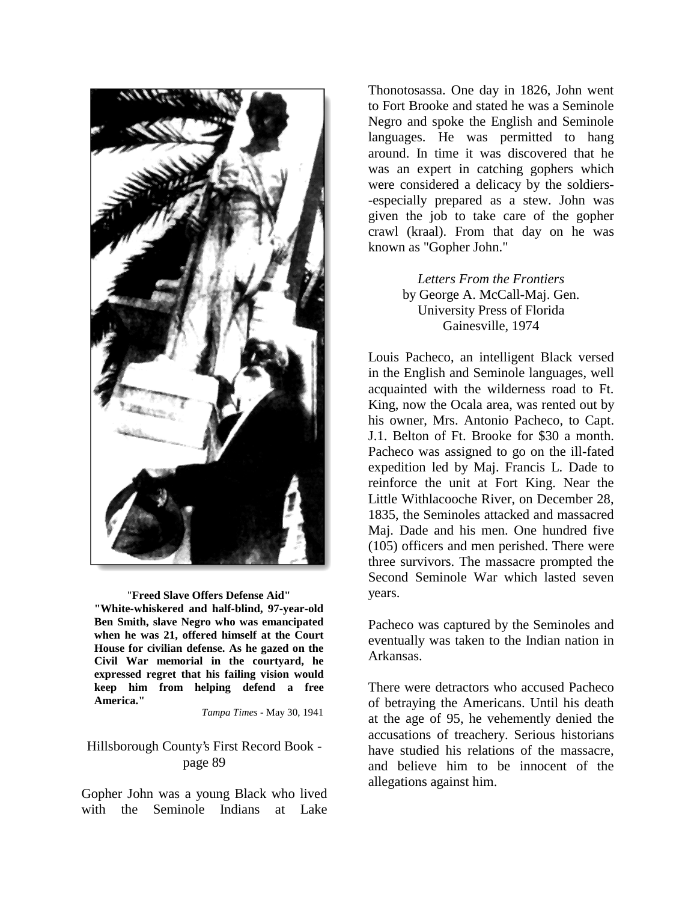

"**Freed Slave Offers Defense Aid" "White-whiskered and half-blind, 97-year-old Ben Smith, slave Negro who was emancipated when he was 21, offered himself at the Court House for civilian defense. As he gazed on the Civil War memorial in the courtyard, he expressed regret that his failing vision would keep him from helping defend a free America."** 

*Tampa Times* - May 30, 1941

## Hillsborough County's First Record Book page 89

Gopher John was a young Black who lived with the Seminole Indians at Lake

Thonotosassa. One day in 1826, John went to Fort Brooke and stated he was a Seminole Negro and spoke the English and Seminole languages. He was permitted to hang around. In time it was discovered that he was an expert in catching gophers which were considered a delicacy by the soldiers- -especially prepared as a stew. John was given the job to take care of the gopher crawl (kraal). From that day on he was known as "Gopher John."

> *Letters From the Frontiers*  by George A. McCall-Maj. Gen. University Press of Florida Gainesville, 1974

Louis Pacheco, an intelligent Black versed in the English and Seminole languages, well acquainted with the wilderness road to Ft. King, now the Ocala area, was rented out by his owner, Mrs. Antonio Pacheco, to Capt. J.1. Belton of Ft. Brooke for \$30 a month. Pacheco was assigned to go on the ill-fated expedition led by Maj. Francis L. Dade to reinforce the unit at Fort King. Near the Little Withlacooche River, on December 28, 1835, the Seminoles attacked and massacred Maj. Dade and his men. One hundred five (105) officers and men perished. There were three survivors. The massacre prompted the Second Seminole War which lasted seven years.

Pacheco was captured by the Seminoles and eventually was taken to the Indian nation in Arkansas.

There were detractors who accused Pacheco of betraying the Americans. Until his death at the age of 95, he vehemently denied the accusations of treachery. Serious historians have studied his relations of the massacre, and believe him to be innocent of the allegations against him.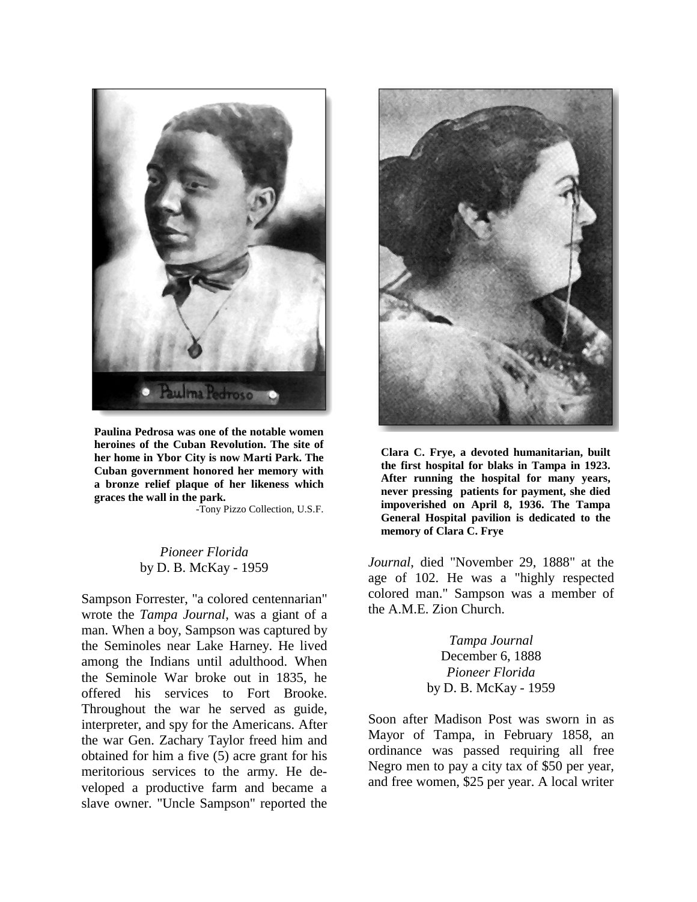

**Paulina Pedrosa was one of the notable women heroines of the Cuban Revolution. The site of her home in Ybor City is now Marti Park. The Cuban government honored her memory with a bronze relief plaque of her likeness which graces the wall in the park.** 

-Tony Pizzo Collection, U.S.F.

## *Pioneer Florida*  by D. B. McKay - 1959

Sampson Forrester, "a colored centennarian" wrote the *Tampa Journal*, was a giant of a man. When a boy, Sampson was captured by the Seminoles near Lake Harney. He lived among the Indians until adulthood. When the Seminole War broke out in 1835, he offered his services to Fort Brooke. Throughout the war he served as guide, interpreter, and spy for the Americans. After the war Gen. Zachary Taylor freed him and obtained for him a five (5) acre grant for his meritorious services to the army. He developed a productive farm and became a slave owner. "Uncle Sampson" reported the



**Clara C. Frye, a devoted humanitarian, built the first hospital for blaks in Tampa in 1923. After running the hospital for many years, never pressing patients for payment, she died impoverished on April 8, 1936. The Tampa General Hospital pavilion is dedicated to the memory of Clara C. Frye** 

*Journal*, died "November 29, 1888" at the age of 102. He was a "highly respected colored man." Sampson was a member of the A.M.E. Zion Church.

> *Tampa Journal*  December 6, 1888 *Pioneer Florida* by D. B. McKay - 1959

Soon after Madison Post was sworn in as Mayor of Tampa, in February 1858, an ordinance was passed requiring all free Negro men to pay a city tax of \$50 per year, and free women, \$25 per year. A local writer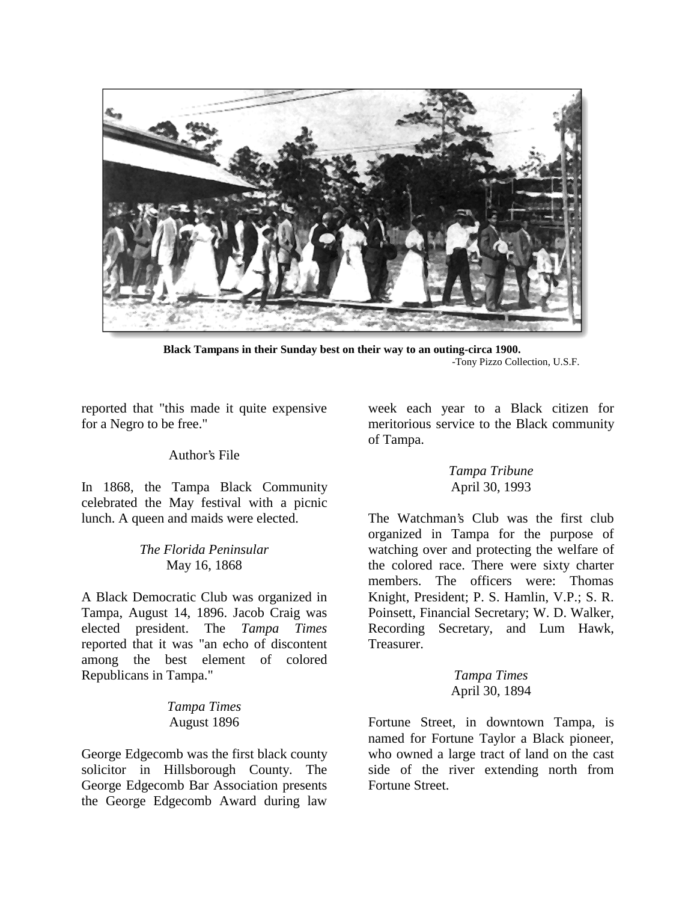

**Black Tampans in their Sunday best on their way to an outing-circa 1900.**  -Tony Pizzo Collection, U.S.F.

reported that "this made it quite expensive for a Negro to be free."

#### Author's File

In 1868, the Tampa Black Community celebrated the May festival with a picnic lunch. A queen and maids were elected.

#### *The Florida Peninsular*  May 16, 1868

A Black Democratic Club was organized in Tampa, August 14, 1896. Jacob Craig was elected president. The *Tampa Times* reported that it was "an echo of discontent among the best element of colored Republicans in Tampa."

## *Tampa Times*  August 1896

George Edgecomb was the first black county solicitor in Hillsborough County. The George Edgecomb Bar Association presents the George Edgecomb Award during law

week each year to a Black citizen for meritorious service to the Black community of Tampa.

#### *Tampa Tribune*  April 30, 1993

The Watchman's Club was the first club organized in Tampa for the purpose of watching over and protecting the welfare of the colored race. There were sixty charter members. The officers were: Thomas Knight, President; P. S. Hamlin, V.P.; S. R. Poinsett, Financial Secretary; W. D. Walker, Recording Secretary, and Lum Hawk, Treasurer.

#### *Tampa Times*  April 30, 1894

Fortune Street, in downtown Tampa, is named for Fortune Taylor a Black pioneer, who owned a large tract of land on the cast side of the river extending north from Fortune Street.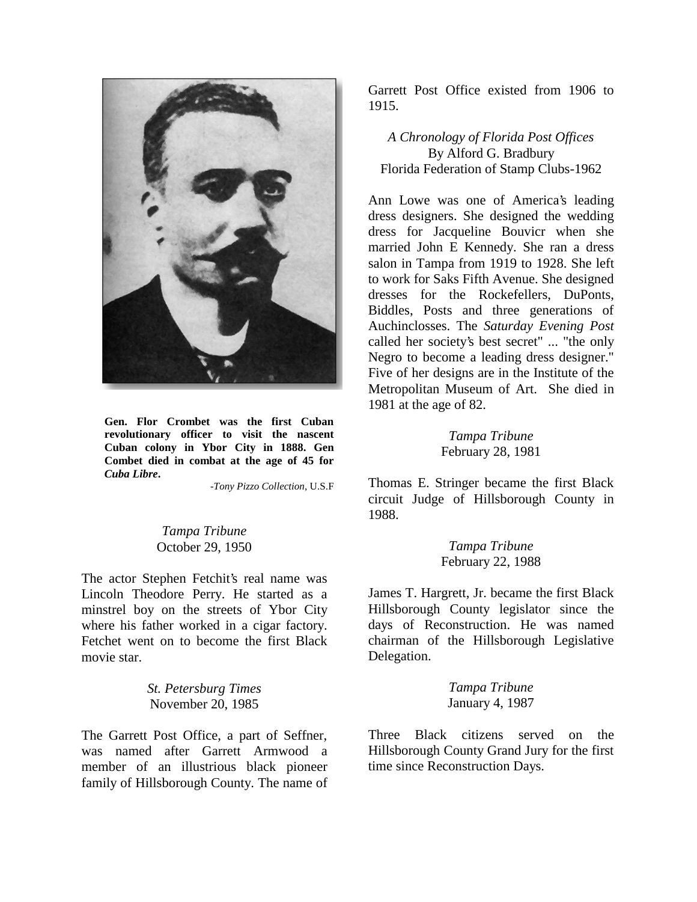

**Gen. Flor Crombet was the first Cuban revolutionary officer to visit the nascent Cuban colony in Ybor City in 1888. Gen Combet died in combat at the age of 45 for**  *Cuba Libre***.** 

-*Tony Pizzo Collection*, U.S.F

*Tampa Tribune*  October 29, 1950

The actor Stephen Fetchit's real name was Lincoln Theodore Perry. He started as a minstrel boy on the streets of Ybor City where his father worked in a cigar factory. Fetchet went on to become the first Black movie star.

> *St. Petersburg Times*  November 20, 1985

The Garrett Post Office, a part of Seffner, was named after Garrett Armwood a member of an illustrious black pioneer family of Hillsborough County. The name of

Garrett Post Office existed from 1906 to 1915.

*A Chronology of Florida Post Offices*  By Alford G. Bradbury Florida Federation of Stamp Clubs-1962

Ann Lowe was one of America's leading dress designers. She designed the wedding dress for Jacqueline Bouvicr when she married John E Kennedy. She ran a dress salon in Tampa from 1919 to 1928. She left to work for Saks Fifth Avenue. She designed dresses for the Rockefellers, DuPonts, Biddles, Posts and three generations of Auchinclosses. The *Saturday Evening Post* called her society's best secret" ... "the only Negro to become a leading dress designer." Five of her designs are in the Institute of the Metropolitan Museum of Art. She died in 1981 at the age of 82.

> *Tampa Tribune*  February 28, 1981

Thomas E. Stringer became the first Black circuit Judge of Hillsborough County in 1988.

> *Tampa Tribune*  February 22, 1988

James T. Hargrett, Jr. became the first Black Hillsborough County legislator since the days of Reconstruction. He was named chairman of the Hillsborough Legislative Delegation.

> *Tampa Tribune*  January 4, 1987

Three Black citizens served on the Hillsborough County Grand Jury for the first time since Reconstruction Days.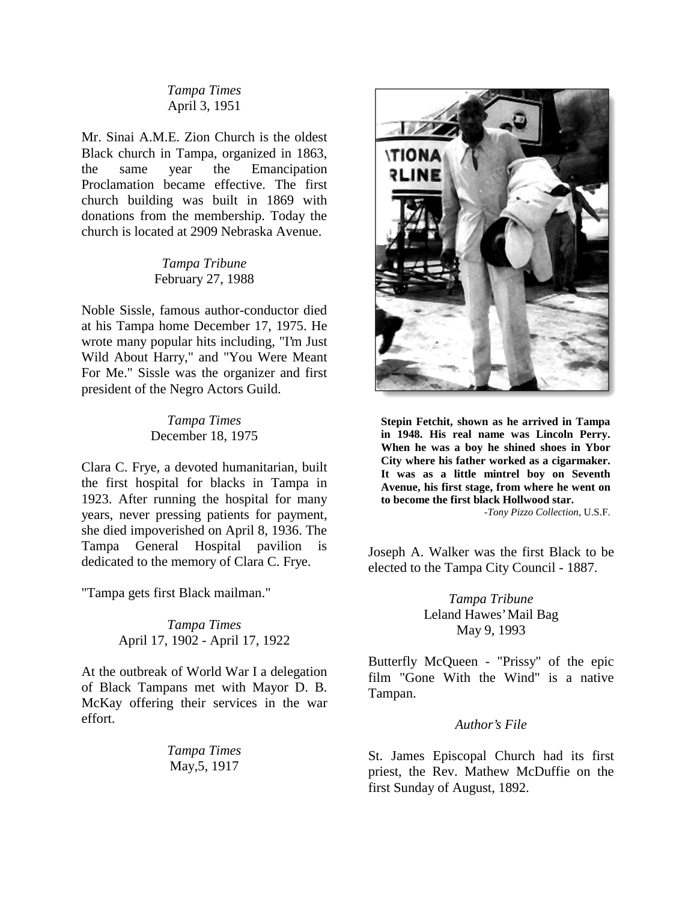#### *Tampa Times*  April 3, 1951

Mr. Sinai A.M.E. Zion Church is the oldest Black church in Tampa, organized in 1863, the same year the Emancipation Proclamation became effective. The first church building was built in 1869 with donations from the membership. Today the church is located at 2909 Nebraska Avenue.

## *Tampa Tribune*  February 27, 1988

Noble Sissle, famous author-conductor died at his Tampa home December 17, 1975. He wrote many popular hits including, "I'm Just Wild About Harry," and "You Were Meant For Me." Sissle was the organizer and first president of the Negro Actors Guild.

#### *Tampa Times*  December 18, 1975

Clara C. Frye, a devoted humanitarian, built the first hospital for blacks in Tampa in 1923. After running the hospital for many years, never pressing patients for payment, she died impoverished on April 8, 1936. The Tampa General Hospital pavilion is dedicated to the memory of Clara C. Frye.

"Tampa gets first Black mailman."

*Tampa Times*  April 17, 1902 - April 17, 1922

At the outbreak of World War I a delegation of Black Tampans met with Mayor D. B. McKay offering their services in the war effort.

> *Tampa Times*  May,5, 1917



**Stepin Fetchit, shown as he arrived in Tampa in 1948. His real name was Lincoln Perry. When he was a boy he shined shoes in Ybor City where his father worked as a cigarmaker. It was as a little mintrel boy on Seventh Avenue, his first stage, from where he went on to become the first black Hollwood star.** 

-*Tony Pizzo Collection*, U.S.F.

Joseph A. Walker was the first Black to be elected to the Tampa City Council - 1887.

> *Tampa Tribune*  Leland Hawes' Mail Bag May 9, 1993

Butterfly McQueen - "Prissy" of the epic film "Gone With the Wind" is a native Tampan.

#### *Author's File*

St. James Episcopal Church had its first priest, the Rev. Mathew McDuffie on the first Sunday of August, 1892.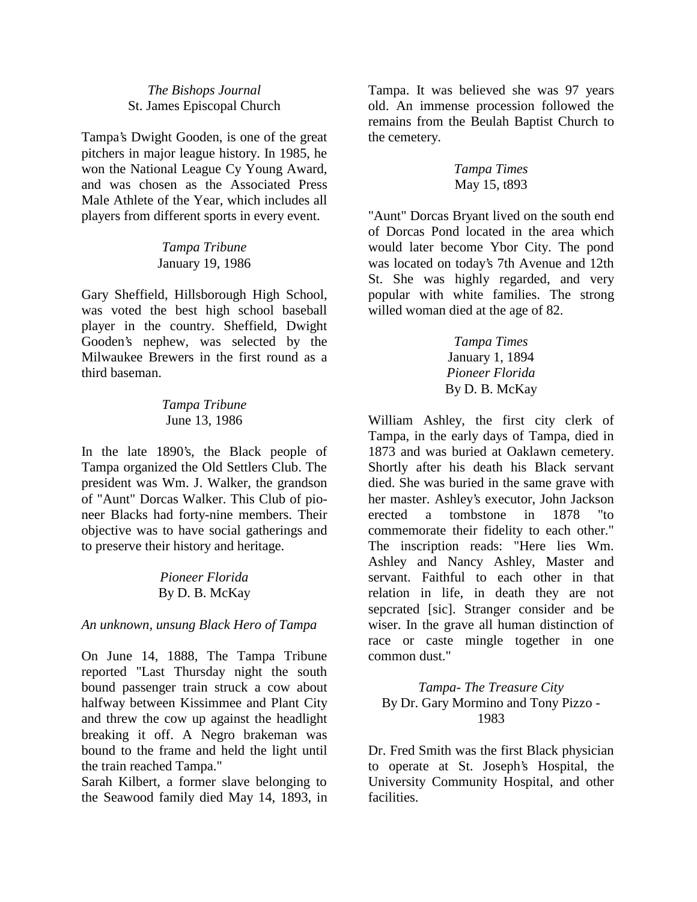## *The Bishops Journal*  St. James Episcopal Church

Tampa's Dwight Gooden, is one of the great pitchers in major league history. In 1985, he won the National League Cy Young Award, and was chosen as the Associated Press Male Athlete of the Year, which includes all players from different sports in every event.

> *Tampa Tribune*  January 19, 1986

Gary Sheffield, Hillsborough High School, was voted the best high school baseball player in the country. Sheffield, Dwight Gooden's nephew, was selected by the Milwaukee Brewers in the first round as a third baseman.

## *Tampa Tribune*  June 13, 1986

In the late 1890's, the Black people of Tampa organized the Old Settlers Club. The president was Wm. J. Walker, the grandson of "Aunt" Dorcas Walker. This Club of pioneer Blacks had forty-nine members. Their objective was to have social gatherings and to preserve their history and heritage.

# *Pioneer Florida*  By D. B. McKay

## *An unknown, unsung Black Hero of Tampa*

On June 14, 1888, The Tampa Tribune reported "Last Thursday night the south bound passenger train struck a cow about halfway between Kissimmee and Plant City and threw the cow up against the headlight breaking it off. A Negro brakeman was bound to the frame and held the light until the train reached Tampa."

Sarah Kilbert, a former slave belonging to the Seawood family died May 14, 1893, in Tampa. It was believed she was 97 years old. An immense procession followed the remains from the Beulah Baptist Church to the cemetery.

## *Tampa Times*  May 15, t893

"Aunt" Dorcas Bryant lived on the south end of Dorcas Pond located in the area which would later become Ybor City. The pond was located on today's 7th Avenue and 12th St. She was highly regarded, and very popular with white families. The strong willed woman died at the age of 82.

> *Tampa Times*  January 1, 1894 *Pioneer Florida*  By D. B. McKay

William Ashley, the first city clerk of Tampa, in the early days of Tampa, died in 1873 and was buried at Oaklawn cemetery. Shortly after his death his Black servant died. She was buried in the same grave with her master. Ashley's executor, John Jackson erected a tombstone in 1878 "to commemorate their fidelity to each other." The inscription reads: "Here lies Wm. Ashley and Nancy Ashley, Master and servant. Faithful to each other in that relation in life, in death they are not sepcrated [sic]. Stranger consider and be wiser. In the grave all human distinction of race or caste mingle together in one common dust."

# *Tampa- The Treasure City*  By Dr. Gary Mormino and Tony Pizzo - 1983

Dr. Fred Smith was the first Black physician to operate at St. Joseph's Hospital, the University Community Hospital, and other facilities.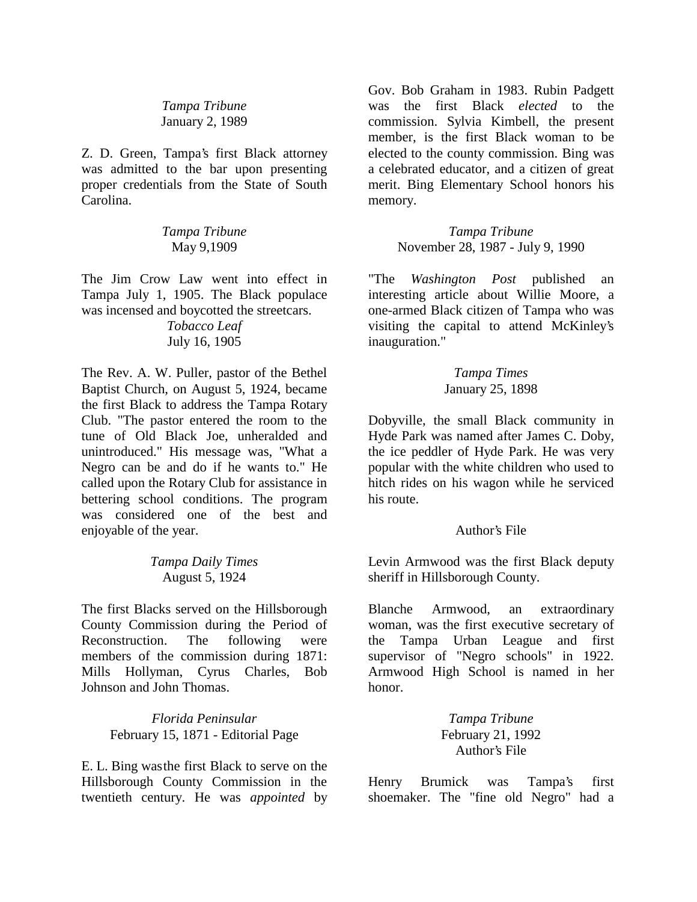*Tampa Tribune*  January 2, 1989

Z. D. Green, Tampa's first Black attorney was admitted to the bar upon presenting proper credentials from the State of South Carolina.

> *Tampa Tribune*  May 9,1909

The Jim Crow Law went into effect in Tampa July 1, 1905. The Black populace was incensed and boycotted the streetcars.

> *Tobacco Leaf*  July 16, 1905

The Rev. A. W. Puller, pastor of the Bethel Baptist Church, on August 5, 1924, became the first Black to address the Tampa Rotary Club. "The pastor entered the room to the tune of Old Black Joe, unheralded and unintroduced." His message was, "What a Negro can be and do if he wants to." He called upon the Rotary Club for assistance in bettering school conditions. The program was considered one of the best and enjoyable of the year.

> *Tampa Daily Times*  August 5, 1924

The first Blacks served on the Hillsborough County Commission during the Period of Reconstruction. The following were members of the commission during 1871: Mills Hollyman, Cyrus Charles, Bob Johnson and John Thomas.

> *Florida Peninsular*  February 15, 1871 - Editorial Page

E. L. Bing was the first Black to serve on the Hillsborough County Commission in the twentieth century. He was *appointed* by

Gov. Bob Graham in 1983. Rubin Padgett was the first Black *elected* to the commission. Sylvia Kimbell, the present member, is the first Black woman to be elected to the county commission. Bing was a celebrated educator, and a citizen of great merit. Bing Elementary School honors his memory.

> *Tampa Tribune*  November 28, 1987 - July 9, 1990

"The *Washington Post* published an interesting article about Willie Moore, a one-armed Black citizen of Tampa who was visiting the capital to attend McKinley's inauguration."

#### *Tampa Times*  January 25, 1898

Dobyville, the small Black community in Hyde Park was named after James C. Doby, the ice peddler of Hyde Park. He was very popular with the white children who used to hitch rides on his wagon while he serviced his route.

## Author's File

Levin Armwood was the first Black deputy sheriff in Hillsborough County.

Blanche Armwood, an extraordinary woman, was the first executive secretary of the Tampa Urban League and first supervisor of "Negro schools" in 1922. Armwood High School is named in her honor.

> *Tampa Tribune*  February 21, 1992 Author's File

Henry Brumick was Tampa's first shoemaker. The "fine old Negro" had a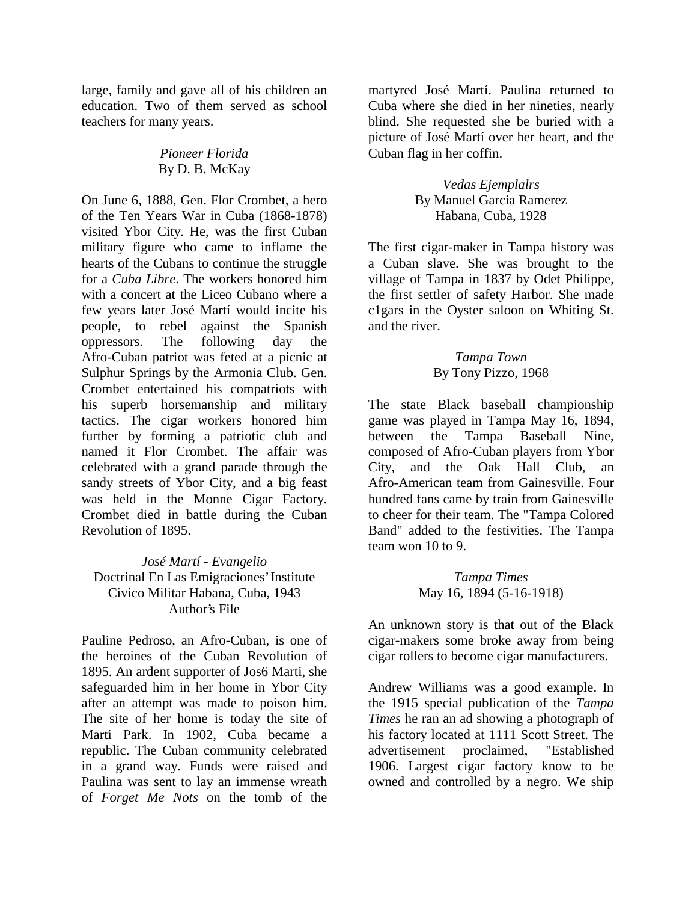large, family and gave all of his children an education. Two of them served as school teachers for many years.

# *Pioneer Florida*  By D. B. McKay

On June 6, 1888, Gen. Flor Crombet, a hero of the Ten Years War in Cuba (1868-1878) visited Ybor City. He, was the first Cuban military figure who came to inflame the hearts of the Cubans to continue the struggle for a *Cuba Libre*. The workers honored him with a concert at the Liceo Cubano where a few years later José Martí would incite his people, to rebel against the Spanish oppressors. The following day the Afro-Cuban patriot was feted at a picnic at Sulphur Springs by the Armonia Club. Gen. Crombet entertained his compatriots with his superb horsemanship and military tactics. The cigar workers honored him further by forming a patriotic club and named it Flor Crombet. The affair was celebrated with a grand parade through the sandy streets of Ybor City, and a big feast was held in the Monne Cigar Factory. Crombet died in battle during the Cuban Revolution of 1895.

*José Martí - Evangelio*  Doctrinal En Las Emigraciones' Institute Civico Militar Habana, Cuba, 1943 Author's File

Pauline Pedroso, an Afro-Cuban, is one of the heroines of the Cuban Revolution of 1895. An ardent supporter of Jos6 Marti, she safeguarded him in her home in Ybor City after an attempt was made to poison him. The site of her home is today the site of Marti Park. In 1902, Cuba became a republic. The Cuban community celebrated in a grand way. Funds were raised and Paulina was sent to lay an immense wreath of *Forget Me Nots* on the tomb of the

martyred José Martí. Paulina returned to Cuba where she died in her nineties, nearly blind. She requested she be buried with a picture of José Martí over her heart, and the Cuban flag in her coffin.

> *Vedas Ejemplalrs*  By Manuel Garcia Ramerez Habana, Cuba, 1928

The first cigar-maker in Tampa history was a Cuban slave. She was brought to the village of Tampa in 1837 by Odet Philippe, the first settler of safety Harbor. She made c1gars in the Oyster saloon on Whiting St. and the river.

## *Tampa Town*  By Tony Pizzo, 1968

The state Black baseball championship game was played in Tampa May 16, 1894, between the Tampa Baseball Nine, composed of Afro-Cuban players from Ybor City, and the Oak Hall Club, an Afro-American team from Gainesville. Four hundred fans came by train from Gainesville to cheer for their team. The "Tampa Colored Band" added to the festivities. The Tampa team won 10 to 9.

> *Tampa Times*  May 16, 1894 (5-16-1918)

An unknown story is that out of the Black cigar-makers some broke away from being cigar rollers to become cigar manufacturers.

Andrew Williams was a good example. In the 1915 special publication of the *Tampa Times* he ran an ad showing a photograph of his factory located at 1111 Scott Street. The advertisement proclaimed, "Established 1906. Largest cigar factory know to be owned and controlled by a negro. We ship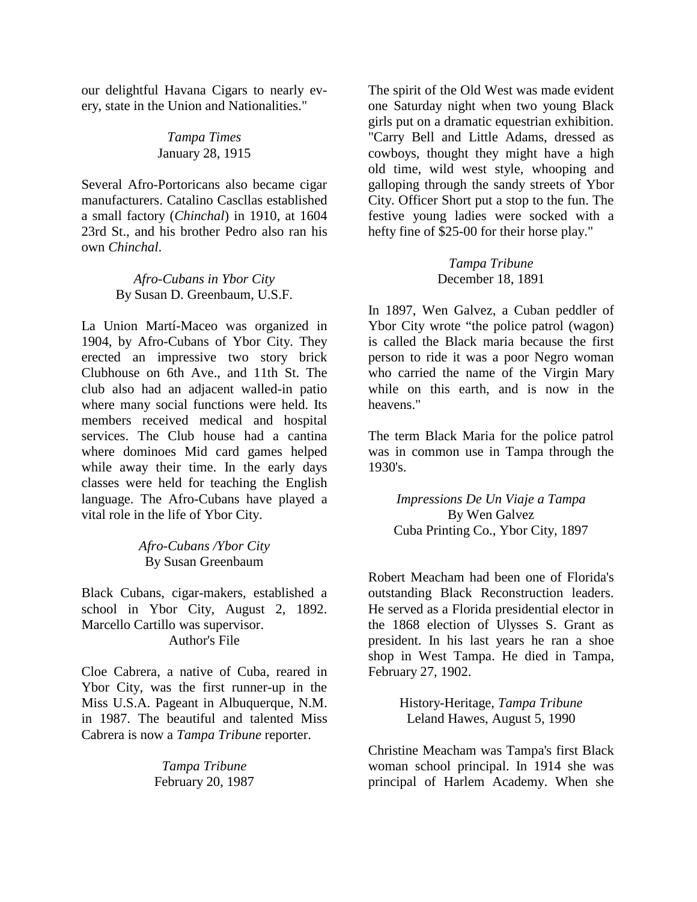our delightful Havana Cigars to nearly every, state in the Union and Nationalities."

#### *Tampa Times*  January 28, 1915

Several Afro-Portoricans also became cigar manufacturers. Catalino Cascllas established a small factory (*Chinchal*) in 1910, at 1604 23rd St., and his brother Pedro also ran his own *Chinchal*.

## *Afro-Cubans in Ybor City*  By Susan D. Greenbaum, U.S.F.

La Union Martí-Maceo was organized in 1904, by Afro-Cubans of Ybor City. They erected an impressive two story brick Clubhouse on 6th Ave., and 11th St. The club also had an adjacent walled-in patio where many social functions were held. Its members received medical and hospital services. The Club house had a cantina where dominoes Mid card games helped while away their time. In the early days classes were held for teaching the English language. The Afro-Cubans have played a vital role in the life of Ybor City.

> *Afro-Cubans /Ybor City*  By Susan Greenbaum

Black Cubans, cigar-makers, established a school in Ybor City, August 2, 1892. Marcello Cartillo was supervisor. Author's File

Cloe Cabrera, a native of Cuba, reared in Ybor City, was the first runner-up in the Miss U.S.A. Pageant in Albuquerque, N.M. in 1987. The beautiful and talented Miss Cabrera is now a *Tampa Tribune* reporter.

> *Tampa Tribune*  February 20, 1987

The spirit of the Old West was made evident one Saturday night when two young Black girls put on a dramatic equestrian exhibition. "Carry Bell and Little Adams, dressed as cowboys, thought they might have a high old time, wild west style, whooping and galloping through the sandy streets of Ybor City. Officer Short put a stop to the fun. The festive young ladies were socked with a hefty fine of \$25-00 for their horse play."

## *Tampa Tribune*  December 18, 1891

In 1897, Wen Galvez, a Cuban peddler of Ybor City wrote "the police patrol (wagon) is called the Black maria because the first person to ride it was a poor Negro woman who carried the name of the Virgin Mary while on this earth, and is now in the heavens."

The term Black Maria for the police patrol was in common use in Tampa through the 1930's.

> *Impressions De Un Viaje a Tampa*  By Wen Galvez Cuba Printing Co., Ybor City, 1897

Robert Meacham had been one of Florida's outstanding Black Reconstruction leaders. He served as a Florida presidential elector in the 1868 election of Ulysses S. Grant as president. In his last years he ran a shoe shop in West Tampa. He died in Tampa, February 27, 1902.

> History-Heritage, *Tampa Tribune*  Leland Hawes, August 5, 1990

Christine Meacham was Tampa's first Black woman school principal. In 1914 she was principal of Harlem Academy. When she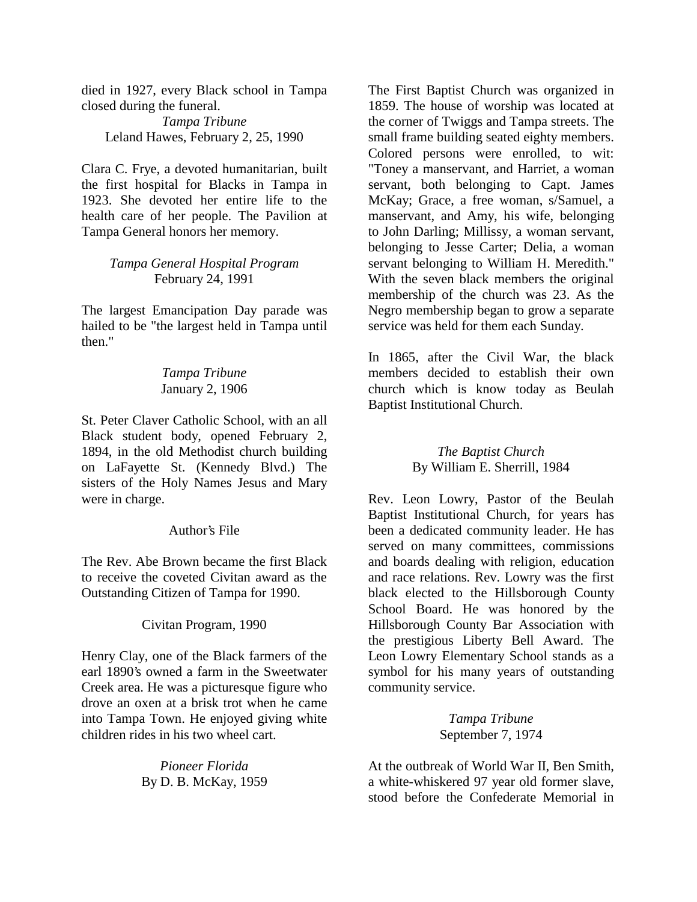died in 1927, every Black school in Tampa closed during the funeral.

*Tampa Tribune*  Leland Hawes, February 2, 25, 1990

Clara C. Frye, a devoted humanitarian, built the first hospital for Blacks in Tampa in 1923. She devoted her entire life to the health care of her people. The Pavilion at Tampa General honors her memory.

## *Tampa General Hospital Program*  February 24, 1991

The largest Emancipation Day parade was hailed to be "the largest held in Tampa until then."

> *Tampa Tribune*  January 2, 1906

St. Peter Claver Catholic School, with an all Black student body, opened February 2, 1894, in the old Methodist church building on LaFayette St. (Kennedy Blvd.) The sisters of the Holy Names Jesus and Mary were in charge.

## Author's File

The Rev. Abe Brown became the first Black to receive the coveted Civitan award as the Outstanding Citizen of Tampa for 1990.

Civitan Program, 1990

Henry Clay, one of the Black farmers of the earl 1890's owned a farm in the Sweetwater Creek area. He was a picturesque figure who drove an oxen at a brisk trot when he came into Tampa Town. He enjoyed giving white children rides in his two wheel cart.

> *Pioneer Florida*  By D. B. McKay, 1959

The First Baptist Church was organized in 1859. The house of worship was located at the corner of Twiggs and Tampa streets. The small frame building seated eighty members. Colored persons were enrolled, to wit: "Toney a manservant, and Harriet, a woman servant, both belonging to Capt. James McKay; Grace, a free woman, s/Samuel, a manservant, and Amy, his wife, belonging to John Darling; Millissy, a woman servant, belonging to Jesse Carter; Delia, a woman servant belonging to William H. Meredith." With the seven black members the original membership of the church was 23. As the Negro membership began to grow a separate service was held for them each Sunday.

In 1865, after the Civil War, the black members decided to establish their own church which is know today as Beulah Baptist Institutional Church.

> *The Baptist Church*  By William E. Sherrill, 1984

Rev. Leon Lowry, Pastor of the Beulah Baptist Institutional Church, for years has been a dedicated community leader. He has served on many committees, commissions and boards dealing with religion, education and race relations. Rev. Lowry was the first black elected to the Hillsborough County School Board. He was honored by the Hillsborough County Bar Association with the prestigious Liberty Bell Award. The Leon Lowry Elementary School stands as a symbol for his many years of outstanding community service.

> *Tampa Tribune*  September 7, 1974

At the outbreak of World War II, Ben Smith, a white-whiskered 97 year old former slave, stood before the Confederate Memorial in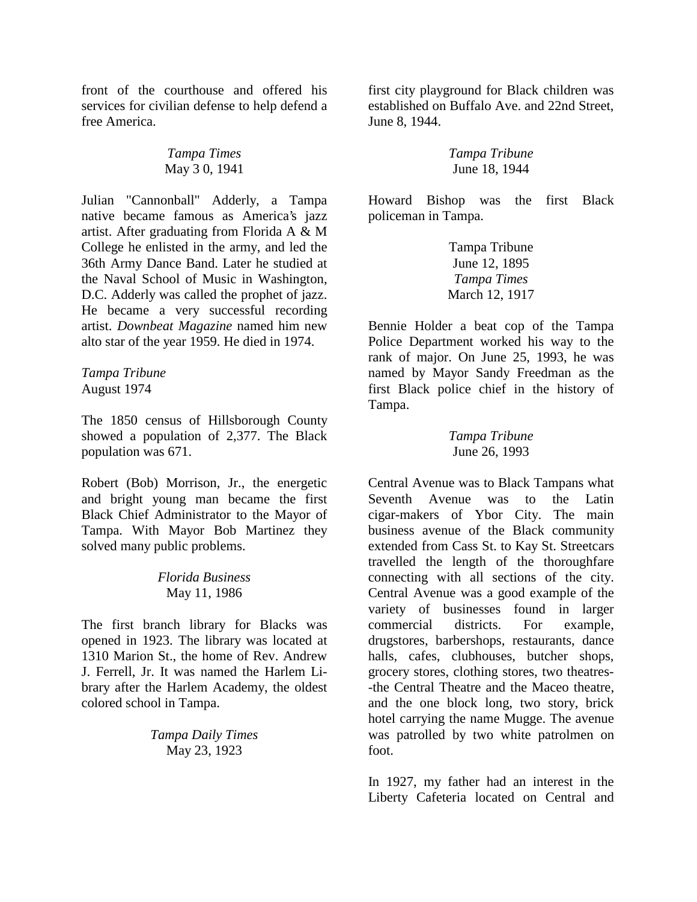front of the courthouse and offered his services for civilian defense to help defend a free America.

## *Tampa Times*  May 3 0, 1941

Julian "Cannonball" Adderly, a Tampa native became famous as America's jazz artist. After graduating from Florida A & M College he enlisted in the army, and led the 36th Army Dance Band. Later he studied at the Naval School of Music in Washington, D.C. Adderly was called the prophet of jazz. He became a very successful recording artist. *Downbeat Magazine* named him new alto star of the year 1959. He died in 1974.

#### *Tampa Tribune*  August 1974

The 1850 census of Hillsborough County showed a population of 2,377. The Black population was 671.

Robert (Bob) Morrison, Jr., the energetic and bright young man became the first Black Chief Administrator to the Mayor of Tampa. With Mayor Bob Martinez they solved many public problems.

# *Florida Business*  May 11, 1986

The first branch library for Blacks was opened in 1923. The library was located at 1310 Marion St., the home of Rev. Andrew J. Ferrell, Jr. It was named the Harlem Library after the Harlem Academy, the oldest colored school in Tampa.

> *Tampa Daily Times*  May 23, 1923

first city playground for Black children was established on Buffalo Ave. and 22nd Street, June 8, 1944.

# *Tampa Tribune*  June 18, 1944

Howard Bishop was the first Black policeman in Tampa.

> Tampa Tribune June 12, 1895 *Tampa Times*  March 12, 1917

Bennie Holder a beat cop of the Tampa Police Department worked his way to the rank of major. On June 25, 1993, he was named by Mayor Sandy Freedman as the first Black police chief in the history of Tampa.

## *Tampa Tribune*  June 26, 1993

Central Avenue was to Black Tampans what Seventh Avenue was to the Latin cigar-makers of Ybor City. The main business avenue of the Black community extended from Cass St. to Kay St. Streetcars travelled the length of the thoroughfare connecting with all sections of the city. Central Avenue was a good example of the variety of businesses found in larger commercial districts. For example, drugstores, barbershops, restaurants, dance halls, cafes, clubhouses, butcher shops, grocery stores, clothing stores, two theatres- -the Central Theatre and the Maceo theatre, and the one block long, two story, brick hotel carrying the name Mugge. The avenue was patrolled by two white patrolmen on foot.

In 1927, my father had an interest in the Liberty Cafeteria located on Central and